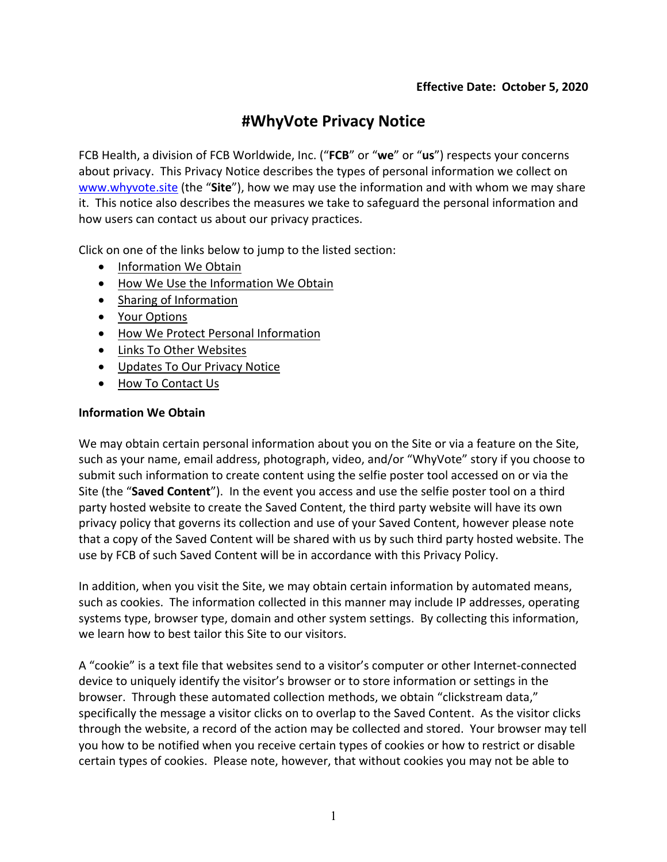# **#WhyVote Privacy Notice**

FCB Health, a division of FCB Worldwide, Inc. ("**FCB**" or "**we**" or "**us**") respects your concerns about privacy. This Privacy Notice describes the types of personal information we collect on www.whyvote.site (the "**Site**"), how we may use the information and with whom we may share it. This notice also describes the measures we take to safeguard the personal information and how users can contact us about our privacy practices.

Click on one of the links below to jump to the listed section:

- Information We Obtain
- How We Use the Information We Obtain
- Sharing of Information
- Your Options
- How We Protect Personal Information
- Links To Other Websites
- Updates To Our Privacy Notice
- How To Contact Us

## **Information We Obtain**

We may obtain certain personal information about you on the Site or via a feature on the Site, such as your name, email address, photograph, video, and/or "WhyVote" story if you choose to submit such information to create content using the selfie poster tool accessed on or via the Site (the "**Saved Content**"). In the event you access and use the selfie poster tool on a third party hosted website to create the Saved Content, the third party website will have its own privacy policy that governs its collection and use of your Saved Content, however please note that a copy of the Saved Content will be shared with us by such third party hosted website. The use by FCB of such Saved Content will be in accordance with this Privacy Policy.

In addition, when you visit the Site, we may obtain certain information by automated means, such as cookies. The information collected in this manner may include IP addresses, operating systems type, browser type, domain and other system settings. By collecting this information, we learn how to best tailor this Site to our visitors.

A "cookie" is a text file that websites send to a visitor's computer or other Internet-connected device to uniquely identify the visitor's browser or to store information or settings in the browser. Through these automated collection methods, we obtain "clickstream data," specifically the message a visitor clicks on to overlap to the Saved Content. As the visitor clicks through the website, a record of the action may be collected and stored. Your browser may tell you how to be notified when you receive certain types of cookies or how to restrict or disable certain types of cookies. Please note, however, that without cookies you may not be able to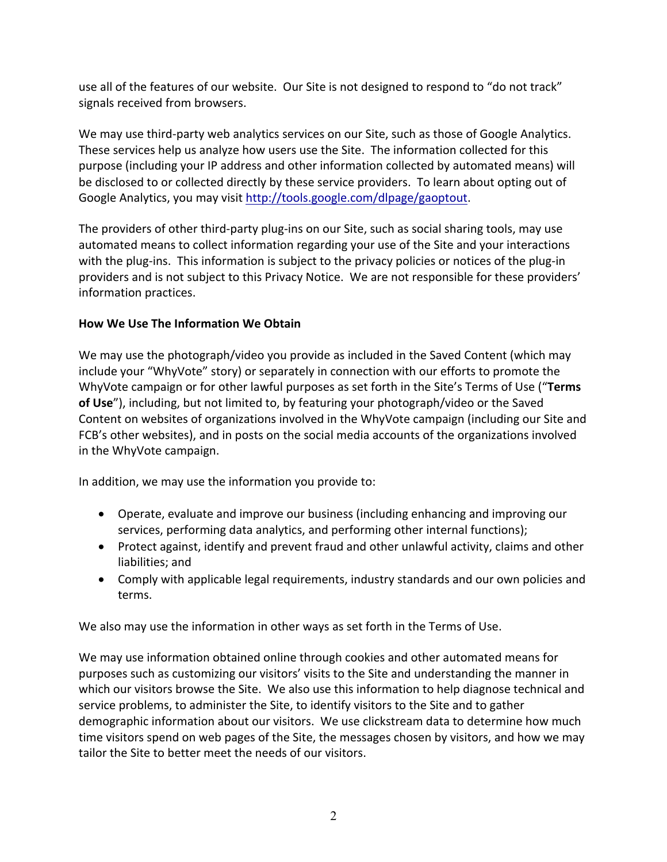use all of the features of our website. Our Site is not designed to respond to "do not track" signals received from browsers.

We may use third-party web analytics services on our Site, such as those of Google Analytics. These services help us analyze how users use the Site. The information collected for this purpose (including your IP address and other information collected by automated means) will be disclosed to or collected directly by these service providers. To learn about opting out of Google Analytics, you may visit http://tools.google.com/dlpage/gaoptout.

The providers of other third-party plug-ins on our Site, such as social sharing tools, may use automated means to collect information regarding your use of the Site and your interactions with the plug-ins. This information is subject to the privacy policies or notices of the plug-in providers and is not subject to this Privacy Notice. We are not responsible for these providers' information practices.

# **How We Use The Information We Obtain**

We may use the photograph/video you provide as included in the Saved Content (which may include your "WhyVote" story) or separately in connection with our efforts to promote the WhyVote campaign or for other lawful purposes as set forth in the Site's Terms of Use ("**Terms of Use**"), including, but not limited to, by featuring your photograph/video or the Saved Content on websites of organizations involved in the WhyVote campaign (including our Site and FCB's other websites), and in posts on the social media accounts of the organizations involved in the WhyVote campaign.

In addition, we may use the information you provide to:

- Operate, evaluate and improve our business (including enhancing and improving our services, performing data analytics, and performing other internal functions);
- Protect against, identify and prevent fraud and other unlawful activity, claims and other liabilities; and
- Comply with applicable legal requirements, industry standards and our own policies and terms.

We also may use the information in other ways as set forth in the Terms of Use.

We may use information obtained online through cookies and other automated means for purposes such as customizing our visitors' visits to the Site and understanding the manner in which our visitors browse the Site. We also use this information to help diagnose technical and service problems, to administer the Site, to identify visitors to the Site and to gather demographic information about our visitors. We use clickstream data to determine how much time visitors spend on web pages of the Site, the messages chosen by visitors, and how we may tailor the Site to better meet the needs of our visitors.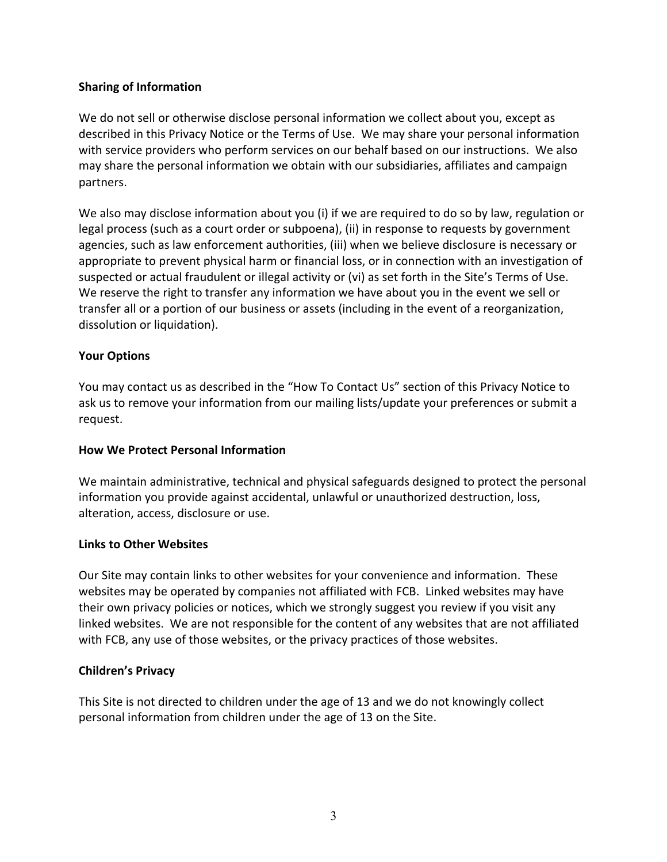# **Sharing of Information**

We do not sell or otherwise disclose personal information we collect about you, except as described in this Privacy Notice or the Terms of Use. We may share your personal information with service providers who perform services on our behalf based on our instructions. We also may share the personal information we obtain with our subsidiaries, affiliates and campaign partners.

We also may disclose information about you (i) if we are required to do so by law, regulation or legal process (such as a court order or subpoena), (ii) in response to requests by government agencies, such as law enforcement authorities, (iii) when we believe disclosure is necessary or appropriate to prevent physical harm or financial loss, or in connection with an investigation of suspected or actual fraudulent or illegal activity or (vi) as set forth in the Site's Terms of Use. We reserve the right to transfer any information we have about you in the event we sell or transfer all or a portion of our business or assets (including in the event of a reorganization, dissolution or liquidation).

# **Your Options**

You may contact us as described in the "How To Contact Us" section of this Privacy Notice to ask us to remove your information from our mailing lists/update your preferences or submit a request.

#### **How We Protect Personal Information**

We maintain administrative, technical and physical safeguards designed to protect the personal information you provide against accidental, unlawful or unauthorized destruction, loss, alteration, access, disclosure or use.

#### **Links to Other Websites**

Our Site may contain links to other websites for your convenience and information. These websites may be operated by companies not affiliated with FCB. Linked websites may have their own privacy policies or notices, which we strongly suggest you review if you visit any linked websites. We are not responsible for the content of any websites that are not affiliated with FCB, any use of those websites, or the privacy practices of those websites.

#### **Children's Privacy**

This Site is not directed to children under the age of 13 and we do not knowingly collect personal information from children under the age of 13 on the Site.